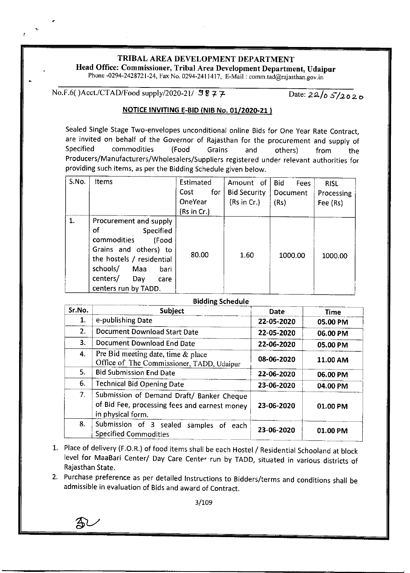## TRIBAL AREA DEVELOPMENT DEPARTMENT

Head Office: Commissioner, Tribal Area Development Department, Udaipur

Phone -0294-2428721-24, Fax No. 0294-2411417, E-Mail: comm.tad@rajasthan.gov.in

No.F.6( )Acct./CTAD/Food supply/2020-21/  $9877$  Date:  $22/65/2020$ 

## NOTICE tNV|TING E-B|D {NtB No.01/2020-21 )

Sealed Single Stage Two-envelopes unconditional online Bids for One year Rate Contract, are invited on behalf of the Governor of Rajasthan for the procurement and supply of Specified commodities (Food Grains and others) from the Producers/Manufacturers/Wholesalers/Suppliers registered under relevant authorities for providing such items, as per the Bidding Schedule given below.

| S.No. | Items                                                                                                                                                                                                 | Estimated<br><b>Cost</b><br>for<br>OneYear<br>(Rs in Cr.) | Amount of<br><b>Bid Security</b><br>(Rs in Cr.) | <b>Bid</b><br>Fees<br>Document<br>(Rs) | <b>RISL</b><br>Processing<br>Fee (Rs) |
|-------|-------------------------------------------------------------------------------------------------------------------------------------------------------------------------------------------------------|-----------------------------------------------------------|-------------------------------------------------|----------------------------------------|---------------------------------------|
| 1.    | Procurement and supply<br>of<br>Specified<br>commodities<br>(Food<br>Grains and others) to<br>the hostels / residential<br>schools/<br>Maa<br>bari<br>centers/<br>Day<br>care<br>centers run by TADD. | 80.00                                                     | 1.60                                            | 1000.00                                | 1000.00                               |

| <b>Bidding Schedule</b> |                                                                                                                 |             |             |  |  |  |
|-------------------------|-----------------------------------------------------------------------------------------------------------------|-------------|-------------|--|--|--|
| Sr.No.                  | Subject                                                                                                         | <b>Date</b> | <b>Time</b> |  |  |  |
| 1.                      | e-publishing Date                                                                                               | 22-05-2020  | 05.00 PM    |  |  |  |
| 2.                      | Document Download Start Date                                                                                    | 22-05-2020  | 06.00 PM    |  |  |  |
| 3.                      | Document Download End Date                                                                                      | 22-06-2020  | 05.00 PM    |  |  |  |
| 4.                      | Pre Bid meeting date, time $\&$ place<br>Office of The Commissioner, TADD, Udaipur                              | 08-06-2020  | 11.00 AM    |  |  |  |
| 5.                      | <b>Bid Submission End Date</b>                                                                                  | 22-06-2020  | 06.00 PM    |  |  |  |
| 6.                      | <b>Technical Bid Opening Date</b>                                                                               | 23-06-2020  | 04.00 PM    |  |  |  |
| 7.                      | Submission of Demand Draft/ Banker Cheque<br>of Bid Fee, processing fees and earnest money<br>in physical form. | 23-06-2020  | 01.00 PM    |  |  |  |
| 8.                      | Submission of 3 sealed<br>samples of<br>each<br><b>Specified Commodities</b>                                    | 23-06-2020  | 01.00 PM    |  |  |  |

- Place of delivery (F.o.R.) of food items shall be each Hostel / Residential Schooland at block level for MaaBari Center/ Day Care Center run by TADD, situated in various districts of Rajasthan State.
- 2. Purchase preference as per detailed Instructions to Bidders/terms and conditions shall be admissible in evaluation of Bids and award of Contract.

 $3/109$ 

 $\mathbb{R}$